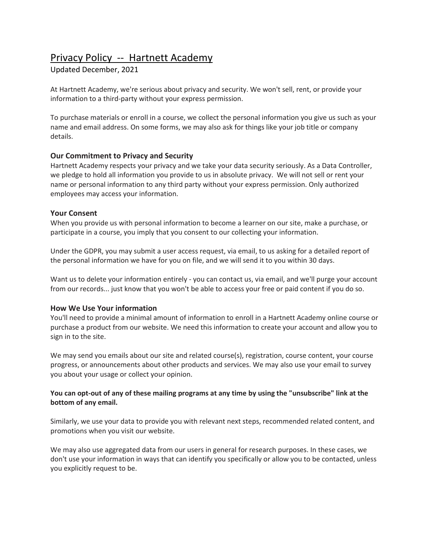# Privacy Policy -- Hartnett Academy

## Updated December, 2021

At Hartnett Academy, we're serious about privacy and security. We won't sell, rent, or provide your information to a third-party without your express permission.

To purchase materials or enroll in a course, we collect the personal information you give us such as your name and email address. On some forms, we may also ask for things like your job title or company details.

## **Our Commitment to Privacy and Security**

Hartnett Academy respects your privacy and we take your data security seriously. As a Data Controller, we pledge to hold all information you provide to us in absolute privacy. We will not sell or rent your name or personal information to any third party without your express permission. Only authorized employees may access your information.

## **Your Consent**

When you provide us with personal information to become a learner on our site, make a purchase, or participate in a course, you imply that you consent to our collecting your information.

Under the GDPR, you may submit a user access request, via email, to us asking for a detailed report of the personal information we have for you on file, and we will send it to you within 30 days.

Want us to delete your information entirely - you can contact us, via email, and we'll purge your account from our records... just know that you won't be able to access your free or paid content if you do so.

## **How We Use Your information**

You'll need to provide a minimal amount of information to enroll in a Hartnett Academy online course or purchase a product from our website. We need this information to create your account and allow you to sign in to the site.

We may send you emails about our site and related course(s), registration, course content, your course progress, or announcements about other products and services. We may also use your email to survey you about your usage or collect your opinion.

## **You can opt-out of any of these mailing programs at any time by using the "unsubscribe" link at the bottom of any email.**

Similarly, we use your data to provide you with relevant next steps, recommended related content, and promotions when you visit our website.

We may also use aggregated data from our users in general for research purposes. In these cases, we don't use your information in ways that can identify you specifically or allow you to be contacted, unless you explicitly request to be.